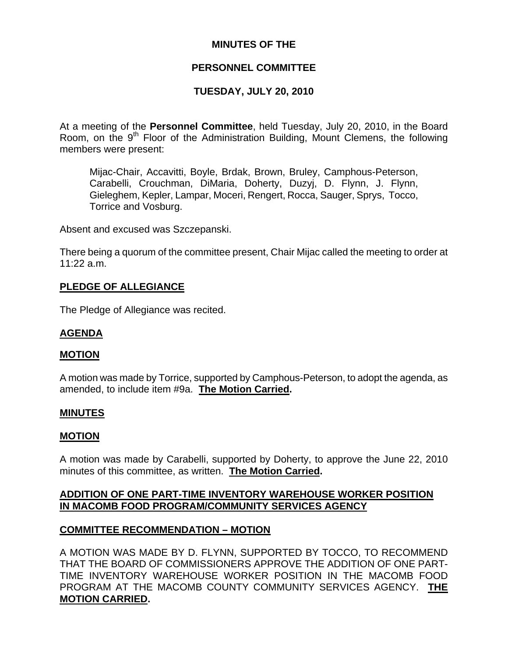# **MINUTES OF THE**

# **PERSONNEL COMMITTEE**

## **TUESDAY, JULY 20, 2010**

At a meeting of the **Personnel Committee**, held Tuesday, July 20, 2010, in the Board Room, on the 9<sup>th</sup> Floor of the Administration Building, Mount Clemens, the following members were present:

Mijac-Chair, Accavitti, Boyle, Brdak, Brown, Bruley, Camphous-Peterson, Carabelli, Crouchman, DiMaria, Doherty, Duzyj, D. Flynn, J. Flynn, Gieleghem, Kepler, Lampar, Moceri, Rengert, Rocca, Sauger, Sprys, Tocco, Torrice and Vosburg.

Absent and excused was Szczepanski.

There being a quorum of the committee present, Chair Mijac called the meeting to order at 11:22 a.m.

#### **PLEDGE OF ALLEGIANCE**

The Pledge of Allegiance was recited.

#### **AGENDA**

#### **MOTION**

A motion was made by Torrice, supported by Camphous-Peterson, to adopt the agenda, as amended, to include item #9a. **The Motion Carried.** 

#### **MINUTES**

#### **MOTION**

A motion was made by Carabelli, supported by Doherty, to approve the June 22, 2010 minutes of this committee, as written. **The Motion Carried.** 

## **ADDITION OF ONE PART-TIME INVENTORY WAREHOUSE WORKER POSITION IN MACOMB FOOD PROGRAM/COMMUNITY SERVICES AGENCY**

#### **COMMITTEE RECOMMENDATION – MOTION**

A MOTION WAS MADE BY D. FLYNN, SUPPORTED BY TOCCO, TO RECOMMEND THAT THE BOARD OF COMMISSIONERS APPROVE THE ADDITION OF ONE PART-TIME INVENTORY WAREHOUSE WORKER POSITION IN THE MACOMB FOOD PROGRAM AT THE MACOMB COUNTY COMMUNITY SERVICES AGENCY. **THE MOTION CARRIED.**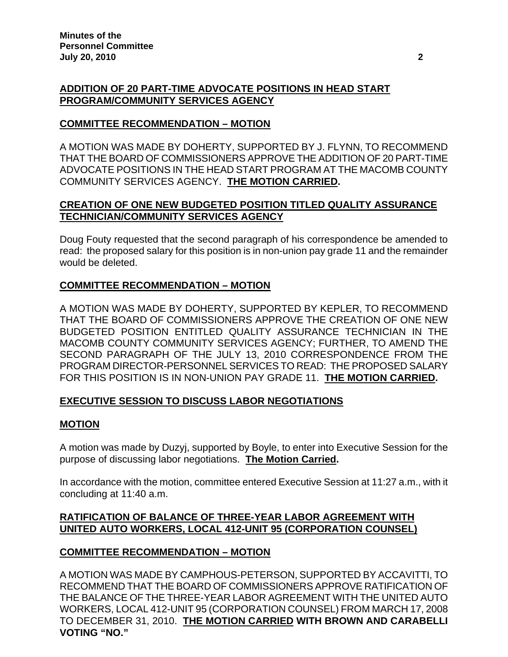# **ADDITION OF 20 PART-TIME ADVOCATE POSITIONS IN HEAD START PROGRAM/COMMUNITY SERVICES AGENCY**

## **COMMITTEE RECOMMENDATION – MOTION**

A MOTION WAS MADE BY DOHERTY, SUPPORTED BY J. FLYNN, TO RECOMMEND THAT THE BOARD OF COMMISSIONERS APPROVE THE ADDITION OF 20 PART-TIME ADVOCATE POSITIONS IN THE HEAD START PROGRAM AT THE MACOMB COUNTY COMMUNITY SERVICES AGENCY. **THE MOTION CARRIED.** 

# **CREATION OF ONE NEW BUDGETED POSITION TITLED QUALITY ASSURANCE TECHNICIAN/COMMUNITY SERVICES AGENCY**

Doug Fouty requested that the second paragraph of his correspondence be amended to read: the proposed salary for this position is in non-union pay grade 11 and the remainder would be deleted.

# **COMMITTEE RECOMMENDATION – MOTION**

A MOTION WAS MADE BY DOHERTY, SUPPORTED BY KEPLER, TO RECOMMEND THAT THE BOARD OF COMMISSIONERS APPROVE THE CREATION OF ONE NEW BUDGETED POSITION ENTITLED QUALITY ASSURANCE TECHNICIAN IN THE MACOMB COUNTY COMMUNITY SERVICES AGENCY; FURTHER, TO AMEND THE SECOND PARAGRAPH OF THE JULY 13, 2010 CORRESPONDENCE FROM THE PROGRAM DIRECTOR-PERSONNEL SERVICES TO READ: THE PROPOSED SALARY FOR THIS POSITION IS IN NON-UNION PAY GRADE 11. **THE MOTION CARRIED.** 

# **EXECUTIVE SESSION TO DISCUSS LABOR NEGOTIATIONS**

## **MOTION**

A motion was made by Duzyj, supported by Boyle, to enter into Executive Session for the purpose of discussing labor negotiations. **The Motion Carried.** 

In accordance with the motion, committee entered Executive Session at 11:27 a.m., with it concluding at 11:40 a.m.

# **RATIFICATION OF BALANCE OF THREE-YEAR LABOR AGREEMENT WITH UNITED AUTO WORKERS, LOCAL 412-UNIT 95 (CORPORATION COUNSEL)**

## **COMMITTEE RECOMMENDATION – MOTION**

A MOTION WAS MADE BY CAMPHOUS-PETERSON, SUPPORTED BY ACCAVITTI, TO RECOMMEND THAT THE BOARD OF COMMISSIONERS APPROVE RATIFICATION OF THE BALANCE OF THE THREE-YEAR LABOR AGREEMENT WITH THE UNITED AUTO WORKERS, LOCAL 412-UNIT 95 (CORPORATION COUNSEL) FROM MARCH 17, 2008 TO DECEMBER 31, 2010. **THE MOTION CARRIED WITH BROWN AND CARABELLI VOTING "NO."**